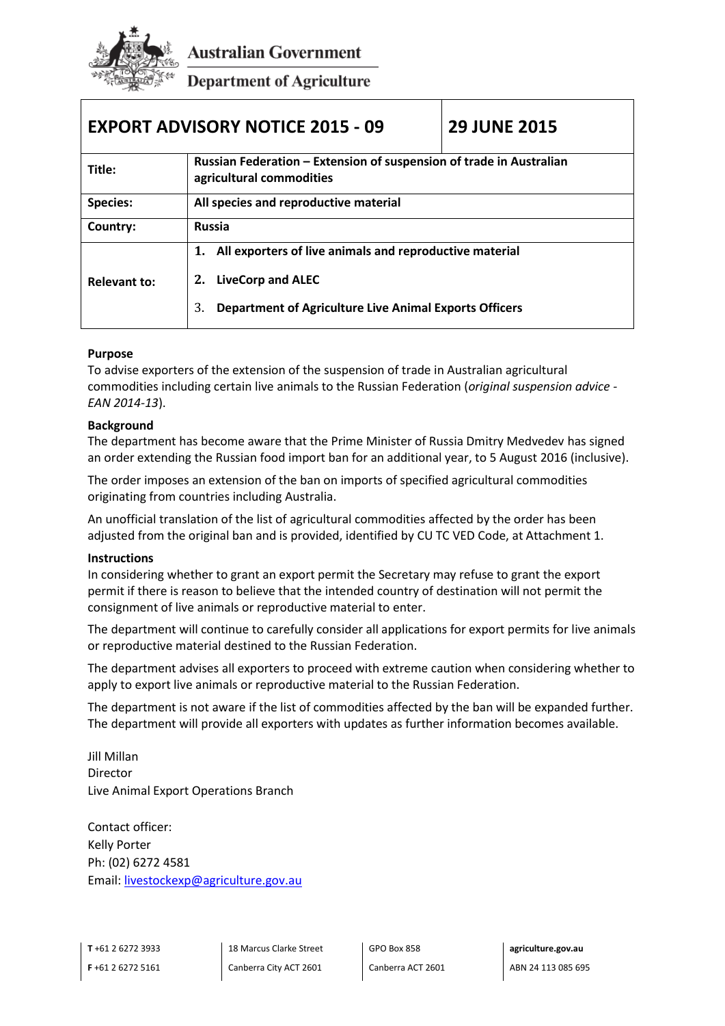

**Australian Government** 

**Department of Agriculture** 

| <b>EXPORT ADVISORY NOTICE 2015 - 09</b>                                                                                                                                                 | <b>29 JUNE 2015</b>                                                 |
|-----------------------------------------------------------------------------------------------------------------------------------------------------------------------------------------|---------------------------------------------------------------------|
| agricultural commodities                                                                                                                                                                |                                                                     |
| All species and reproductive material                                                                                                                                                   |                                                                     |
| <b>Russia</b>                                                                                                                                                                           |                                                                     |
| All exporters of live animals and reproductive material<br>1.<br><b>LiveCorp and ALEC</b><br><b>Relevant to:</b><br><b>Department of Agriculture Live Animal Exports Officers</b><br>3. |                                                                     |
|                                                                                                                                                                                         | Russian Federation - Extension of suspension of trade in Australian |

## **Purpose**

To advise exporters of the extension of the suspension of trade in Australian agricultural commodities including certain live animals to the Russian Federation (*original suspension advice - EAN 2014-13*).

## **Background**

The department has become aware that the Prime Minister of Russia Dmitry Medvedev has signed an order extending the Russian food import ban for an additional year, to 5 August 2016 (inclusive).

The order imposes an extension of the ban on imports of specified agricultural commodities originating from countries including Australia.

An unofficial translation of the list of agricultural commodities affected by the order has been adjusted from the original ban and is provided, identified by CU TC VED Code, at Attachment 1.

## **Instructions**

In considering whether to grant an export permit the Secretary may refuse to grant the export permit if there is reason to believe that the intended country of destination will not permit the consignment of live animals or reproductive material to enter.

The department will continue to carefully consider all applications for export permits for live animals or reproductive material destined to the Russian Federation.

The department advises all exporters to proceed with extreme caution when considering whether to apply to export live animals or reproductive material to the Russian Federation.

The department is not aware if the list of commodities affected by the ban will be expanded further. The department will provide all exporters with updates as further information becomes available.

Jill Millan Director Live Animal Export Operations Branch

Contact officer: Kelly Porter Ph: (02) 6272 4581 Email: [livestockexp@agriculture.gov.au](mailto:livestockexp@agriculture.gov.au)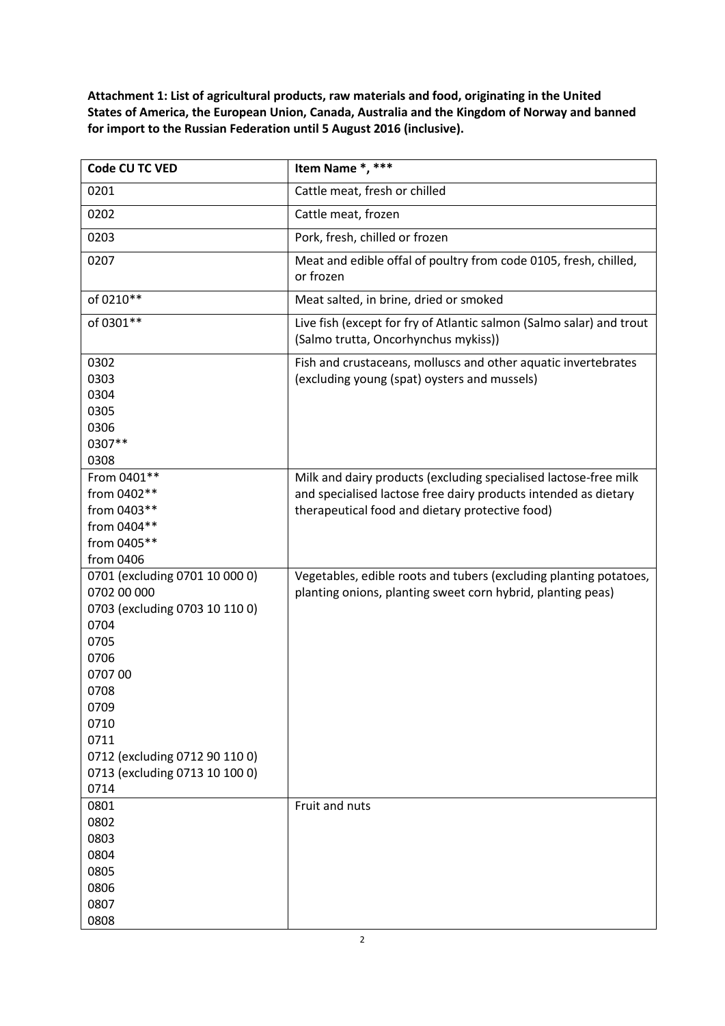**Attachment 1: List of agricultural products, raw materials and food, originating in the United States of America, the European Union, Canada, Australia and the Kingdom of Norway and banned for import to the Russian Federation until 5 August 2016 (inclusive).**

| Code CU TC VED                                                                                                                                                                                                                | Item Name *, ***                                                                                                                                                                       |
|-------------------------------------------------------------------------------------------------------------------------------------------------------------------------------------------------------------------------------|----------------------------------------------------------------------------------------------------------------------------------------------------------------------------------------|
| 0201                                                                                                                                                                                                                          | Cattle meat, fresh or chilled                                                                                                                                                          |
| 0202                                                                                                                                                                                                                          | Cattle meat, frozen                                                                                                                                                                    |
| 0203                                                                                                                                                                                                                          | Pork, fresh, chilled or frozen                                                                                                                                                         |
| 0207                                                                                                                                                                                                                          | Meat and edible offal of poultry from code 0105, fresh, chilled,<br>or frozen                                                                                                          |
| of 0210**                                                                                                                                                                                                                     | Meat salted, in brine, dried or smoked                                                                                                                                                 |
| of 0301**                                                                                                                                                                                                                     | Live fish (except for fry of Atlantic salmon (Salmo salar) and trout<br>(Salmo trutta, Oncorhynchus mykiss))                                                                           |
| 0302<br>0303<br>0304<br>0305<br>0306<br>0307**<br>0308                                                                                                                                                                        | Fish and crustaceans, molluscs and other aquatic invertebrates<br>(excluding young (spat) oysters and mussels)                                                                         |
| From 0401**<br>from 0402**<br>from 0403**<br>from 0404**<br>from 0405**<br>from 0406                                                                                                                                          | Milk and dairy products (excluding specialised lactose-free milk<br>and specialised lactose free dairy products intended as dietary<br>therapeutical food and dietary protective food) |
| 0701 (excluding 0701 10 000 0)<br>0702 00 000<br>0703 (excluding 0703 10 110 0)<br>0704<br>0705<br>0706<br>070700<br>0708<br>0709<br>0710<br>0711<br>0712 (excluding 0712 90 110 0)<br>0713 (excluding 0713 10 100 0)<br>0714 | Vegetables, edible roots and tubers (excluding planting potatoes,<br>planting onions, planting sweet corn hybrid, planting peas)                                                       |
| 0801<br>0802<br>0803<br>0804<br>0805<br>0806<br>0807<br>0808                                                                                                                                                                  | Fruit and nuts                                                                                                                                                                         |